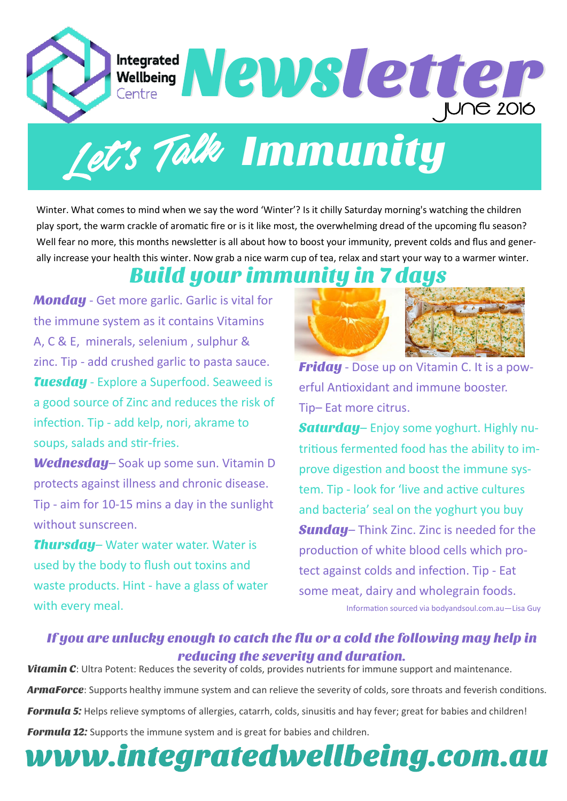

Winter. What comes to mind when we say the word 'Winter'? Is it chilly Saturday morning's watching the children play sport, the warm crackle of aromatic fire or is it like most, the overwhelming dread of the upcoming flu season? Well fear no more, this months newsletter is all about how to boost your immunity, prevent colds and flus and generally increase your health this winter. Now grab a nice warm cup of tea, relax and start your way to a warmer winter.

### Build your immunity in 7 days

**Monday** - Get more garlic. Garlic is vital for the immune system as it contains Vitamins A, C & E, minerals, selenium , sulphur & zinc. Tip - add crushed garlic to pasta sauce. **Tuesday** - Explore a Superfood. Seaweed is a good source of Zinc and reduces the risk of infection. Tip - add kelp, nori, akrame to soups, salads and stir-fries.

Wednesday-Soak up some sun. Vitamin D protects against illness and chronic disease. Tip - aim for 10-15 mins a day in the sunlight without sunscreen.

**Thursday**– Water water water. Water is used by the body to flush out toxins and waste products. Hint - have a glass of water with every meal.



**Friday** - Dose up on Vitamin C. It is a powerful Antioxidant and immune booster. Tip– Eat more citrus.

**Saturday–** Enjoy some yoghurt. Highly nutritious fermented food has the ability to improve digestion and boost the immune system. Tip - look for 'live and active cultures and bacteria' seal on the yoghurt you buy **Sunday-Think Zinc. Zinc is needed for the** production of white blood cells which protect against colds and infection. Tip - Eat some meat, dairy and wholegrain foods. Information sourced via bodyandsoul.com.au—Lisa Guy

#### If you are unlucky enough to catch the flu or a cold the following may help in reducing the severity and duration.

Vitamin C: Ultra Potent: Reduces the severity of colds, provides nutrients for immune support and maintenance. ArmaForce: Supports healthy immune system and can relieve the severity of colds, sore throats and feverish conditions. Formula 5: Helps relieve symptoms of allergies, catarrh, colds, sinusitis and hay fever; great for babies and children! **Formula 12:** Supports the immune system and is great for babies and children.

# www.integratedwellbeing.com.au